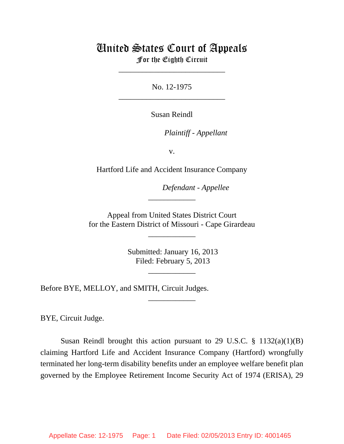## United States Court of Appeals For the Eighth Circuit

\_\_\_\_\_\_\_\_\_\_\_\_\_\_\_\_\_\_\_\_\_\_\_\_\_\_\_

No. 12-1975 \_\_\_\_\_\_\_\_\_\_\_\_\_\_\_\_\_\_\_\_\_\_\_\_\_\_\_

Susan Reindl

lllllllllllllllllllll *Plaintiff - Appellant*

v.

Hartford Life and Accident Insurance Company

lllllllllllllllllllll *Defendant - Appellee*

 Appeal from United States District Court for the Eastern District of Missouri - Cape Girardeau

\_\_\_\_\_\_\_\_\_\_\_\_

\_\_\_\_\_\_\_\_\_\_\_\_

 Submitted: January 16, 2013 Filed: February 5, 2013

\_\_\_\_\_\_\_\_\_\_\_\_

\_\_\_\_\_\_\_\_\_\_\_\_

Before BYE, MELLOY, and SMITH, Circuit Judges.

BYE, Circuit Judge.

Susan Reindl brought this action pursuant to 29 U.S.C. § 1132(a)(1)(B) claiming Hartford Life and Accident Insurance Company (Hartford) wrongfully terminated her long-term disability benefits under an employee welfare benefit plan governed by the Employee Retirement Income Security Act of 1974 (ERISA), 29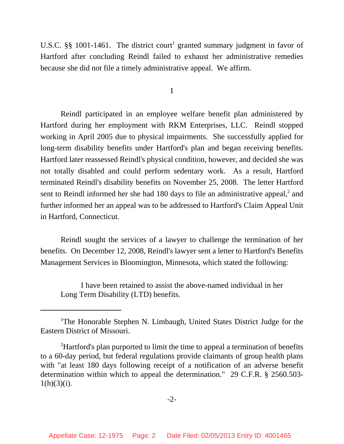U.S.C. §§ 1001-1461. The district court<sup>1</sup> granted summary judgment in favor of Hartford after concluding Reindl failed to exhaust her administrative remedies because she did not file a timely administrative appeal. We affirm.

I

Reindl participated in an employee welfare benefit plan administered by Hartford during her employment with RKM Enterprises, LLC. Reindl stopped working in April 2005 due to physical impairments. She successfully applied for long-term disability benefits under Hartford's plan and began receiving benefits. Hartford later reassessed Reindl's physical condition, however, and decided she was not totally disabled and could perform sedentary work. As a result, Hartford terminated Reindl's disability benefits on November 25, 2008. The letter Hartford sent to Reindl informed her she had  $180$  days to file an administrative appeal, $2$  and further informed her an appeal was to be addressed to Hartford's Claim Appeal Unit in Hartford, Connecticut.

Reindl sought the services of a lawyer to challenge the termination of her benefits. On December 12, 2008, Reindl's lawyer sent a letter to Hartford's Benefits Management Services in Bloomington, Minnesota, which stated the following:

I have been retained to assist the above-named individual in her Long Term Disability (LTD) benefits.

<sup>&</sup>lt;sup>1</sup>The Honorable Stephen N. Limbaugh, United States District Judge for the Eastern District of Missouri.

<sup>&</sup>lt;sup>2</sup>Hartford's plan purported to limit the time to appeal a termination of benefits to a 60-day period, but federal regulations provide claimants of group health plans with "at least 180 days following receipt of a notification of an adverse benefit determination within which to appeal the determination." 29 C.F.R. § 2560.503-  $1(h)(3)(i)$ .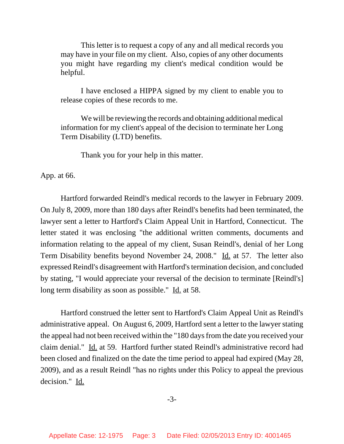This letter is to request a copy of any and all medical records you may have in your file on my client. Also, copies of any other documents you might have regarding my client's medical condition would be helpful.

I have enclosed a HIPPA signed by my client to enable you to release copies of these records to me.

We will be reviewing the records and obtaining additional medical information for my client's appeal of the decision to terminate her Long Term Disability (LTD) benefits.

Thank you for your help in this matter.

App. at 66.

Hartford forwarded Reindl's medical records to the lawyer in February 2009. On July 8, 2009, more than 180 days after Reindl's benefits had been terminated, the lawyer sent a letter to Hartford's Claim Appeal Unit in Hartford, Connecticut. The letter stated it was enclosing "the additional written comments, documents and information relating to the appeal of my client, Susan Reindl's, denial of her Long Term Disability benefits beyond November 24, 2008." Id. at 57. The letter also expressed Reindl's disagreement with Hartford's termination decision, and concluded by stating, "I would appreciate your reversal of the decision to terminate [Reindl's] long term disability as soon as possible." Id. at 58.

Hartford construed the letter sent to Hartford's Claim Appeal Unit as Reindl's administrative appeal. On August 6, 2009, Hartford sent a letter to the lawyer stating the appeal had not been received within the "180 days from the date you received your claim denial." Id. at 59. Hartford further stated Reindl's administrative record had been closed and finalized on the date the time period to appeal had expired (May 28, 2009), and as a result Reindl "has no rights under this Policy to appeal the previous decision." Id.

-3-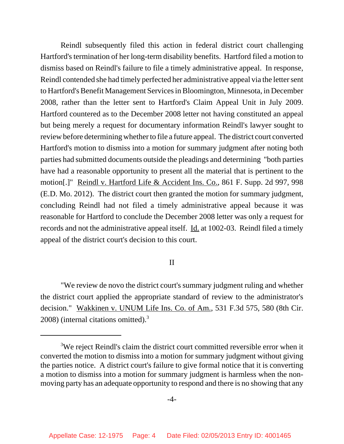Reindl subsequently filed this action in federal district court challenging Hartford's termination of her long-term disability benefits. Hartford filed a motion to dismiss based on Reindl's failure to file a timely administrative appeal. In response, Reindl contended she had timely perfected her administrative appeal via the letter sent to Hartford's Benefit Management Services in Bloomington, Minnesota, in December 2008, rather than the letter sent to Hartford's Claim Appeal Unit in July 2009. Hartford countered as to the December 2008 letter not having constituted an appeal but being merely a request for documentary information Reindl's lawyer sought to review before determining whether to file a future appeal. The district court converted Hartford's motion to dismiss into a motion for summary judgment after noting both parties had submitted documents outside the pleadings and determining "both parties have had a reasonable opportunity to present all the material that is pertinent to the motion[.]" Reindl v. Hartford Life & Accident Ins. Co., 861 F. Supp. 2d 997, 998 (E.D. Mo. 2012). The district court then granted the motion for summary judgment, concluding Reindl had not filed a timely administrative appeal because it was reasonable for Hartford to conclude the December 2008 letter was only a request for records and not the administrative appeal itself. Id. at 1002-03. Reindl filed a timely appeal of the district court's decision to this court.

## II

"We review de novo the district court's summary judgment ruling and whether the district court applied the appropriate standard of review to the administrator's decision." Wakkinen v. UNUM Life Ins. Co. of Am., 531 F.3d 575, 580 (8th Cir. 2008) (internal citations omitted). $3$ 

<sup>&</sup>lt;sup>3</sup>We reject Reindl's claim the district court committed reversible error when it converted the motion to dismiss into a motion for summary judgment without giving the parties notice. A district court's failure to give formal notice that it is converting a motion to dismiss into a motion for summary judgment is harmless when the nonmoving party has an adequate opportunity to respond and there is no showing that any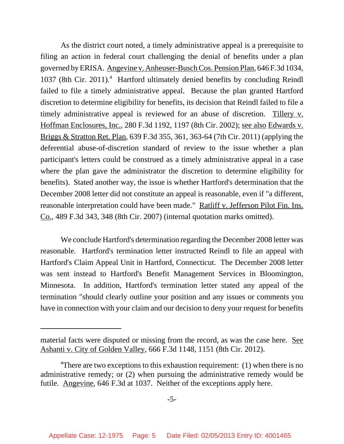As the district court noted, a timely administrative appeal is a prerequisite to filing an action in federal court challenging the denial of benefits under a plan governed by ERISA. Angevine v. Anheuser-Busch Cos. Pension Plan, 646 F.3d 1034, 1037 (8th Cir. 2011).<sup>4</sup> Hartford ultimately denied benefits by concluding Reindl failed to file a timely administrative appeal. Because the plan granted Hartford discretion to determine eligibility for benefits, its decision that Reindl failed to file a timely administrative appeal is reviewed for an abuse of discretion. Tillery v. Hoffman Enclosures, Inc., 280 F.3d 1192, 1197 (8th Cir. 2002); see also Edwards v. Briggs & Stratton Ret. Plan, 639 F.3d 355, 361, 363-64 (7th Cir. 2011) (applying the deferential abuse-of-discretion standard of review to the issue whether a plan participant's letters could be construed as a timely administrative appeal in a case where the plan gave the administrator the discretion to determine eligibility for benefits). Stated another way, the issue is whether Hartford's determination that the December 2008 letter did not constitute an appeal is reasonable, even if "a different, reasonable interpretation could have been made." Ratliff v. Jefferson Pilot Fin. Ins. Co., 489 F.3d 343, 348 (8th Cir. 2007) (internal quotation marks omitted).

We conclude Hartford's determination regarding the December 2008 letter was reasonable. Hartford's termination letter instructed Reindl to file an appeal with Hartford's Claim Appeal Unit in Hartford, Connecticut. The December 2008 letter was sent instead to Hartford's Benefit Management Services in Bloomington, Minnesota. In addition, Hartford's termination letter stated any appeal of the termination "should clearly outline your position and any issues or comments you have in connection with your claim and our decision to deny your request for benefits

material facts were disputed or missing from the record, as was the case here. See Ashanti v. City of Golden Valley, 666 F.3d 1148, 1151 (8th Cir. 2012).

<sup>&</sup>lt;sup>4</sup>There are two exceptions to this exhaustion requirement:  $(1)$  when there is no administrative remedy; or (2) when pursuing the administrative remedy would be futile. Angevine, 646 F.3d at 1037. Neither of the exceptions apply here.